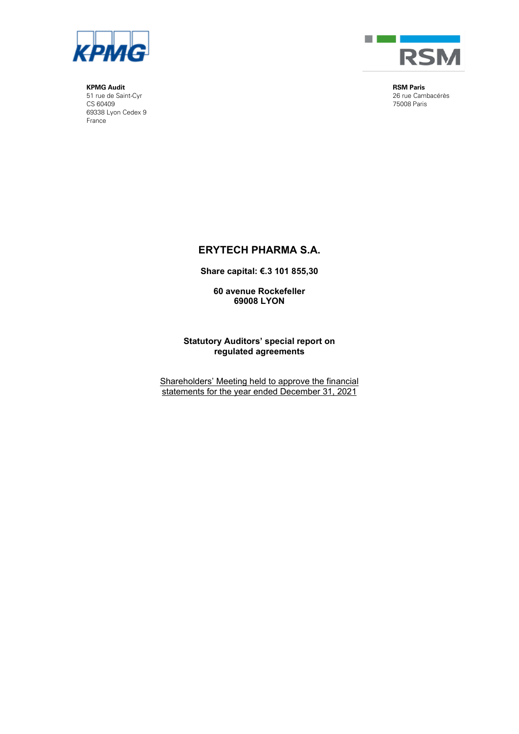

**KPMG Audit** 51 rue de Saint-Cyr CS 60409 69338 Lyon Cedex 9 France



**RSM Paris** 26 rue Cambacérès 75008 Paris

# **ERYTECH PHARMA S.A.**

**Share capital: €.3 101 855,30** 

**60 avenue Rockefeller 69008 LYON**

**Statutory Auditors' special report on regulated agreements** 

Shareholders' Meeting held to approve the financial statements for the year ended December 31, 2021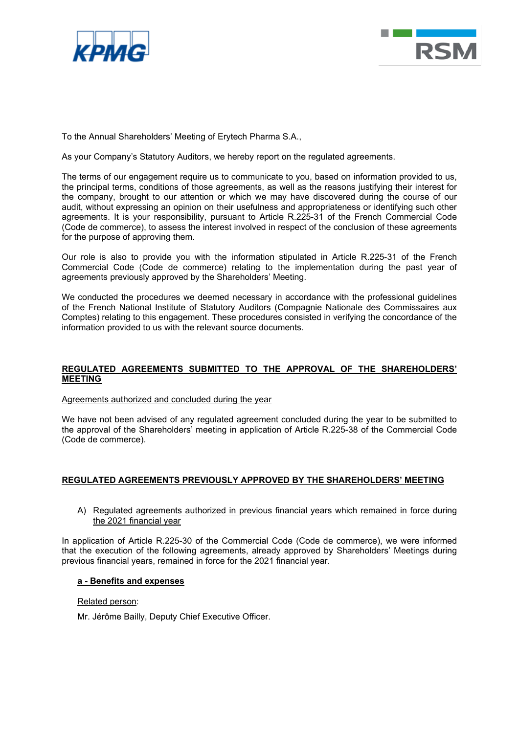



To the Annual Shareholders' Meeting of Erytech Pharma S.A.,

As your Company's Statutory Auditors, we hereby report on the regulated agreements.

The terms of our engagement require us to communicate to you, based on information provided to us, the principal terms, conditions of those agreements, as well as the reasons justifying their interest for the company, brought to our attention or which we may have discovered during the course of our audit, without expressing an opinion on their usefulness and appropriateness or identifying such other agreements. It is your responsibility, pursuant to Article R.225-31 of the French Commercial Code (Code de commerce), to assess the interest involved in respect of the conclusion of these agreements for the purpose of approving them.

Our role is also to provide you with the information stipulated in Article R.225-31 of the French Commercial Code (Code de commerce) relating to the implementation during the past year of agreements previously approved by the Shareholders' Meeting.

We conducted the procedures we deemed necessary in accordance with the professional guidelines of the French National Institute of Statutory Auditors (Compagnie Nationale des Commissaires aux Comptes) relating to this engagement. These procedures consisted in verifying the concordance of the information provided to us with the relevant source documents.

## **REGULATED AGREEMENTS SUBMITTED TO THE APPROVAL OF THE SHAREHOLDERS' MEETING**

Agreements authorized and concluded during the year

We have not been advised of any regulated agreement concluded during the year to be submitted to the approval of the Shareholders' meeting in application of Article R.225-38 of the Commercial Code (Code de commerce).

## **REGULATED AGREEMENTS PREVIOUSLY APPROVED BY THE SHAREHOLDERS' MEETING**

## A) Regulated agreements authorized in previous financial years which remained in force during the 2021 financial year

In application of Article R.225-30 of the Commercial Code (Code de commerce), we were informed that the execution of the following agreements, already approved by Shareholders' Meetings during previous financial years, remained in force for the 2021 financial year.

## **a - Benefits and expenses**

## Related person:

Mr. Jérôme Bailly, Deputy Chief Executive Officer.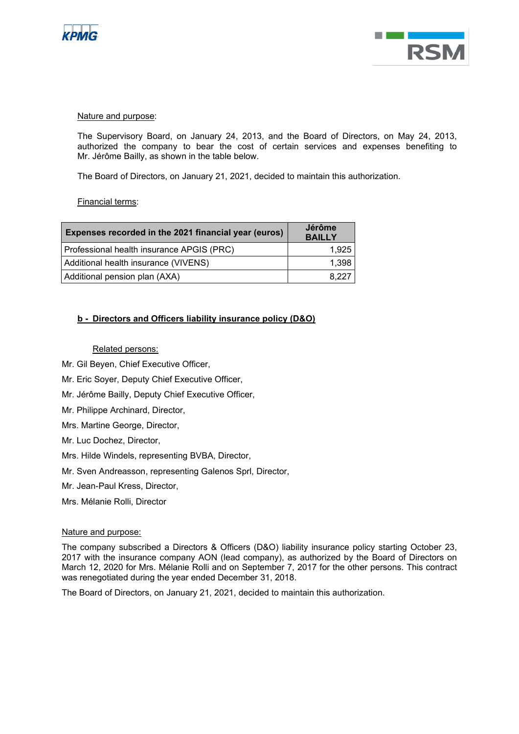



## Nature and purpose:

The Supervisory Board, on January 24, 2013, and the Board of Directors, on May 24, 2013, authorized the company to bear the cost of certain services and expenses benefiting to Mr. Jérôme Bailly, as shown in the table below.

The Board of Directors, on January 21, 2021, decided to maintain this authorization.

Financial terms:

| Expenses recorded in the 2021 financial year (euros) | Jérôme<br><b>BAILLY</b> |
|------------------------------------------------------|-------------------------|
| Professional health insurance APGIS (PRC)            | 1,925                   |
| Additional health insurance (VIVENS)                 | 1,398                   |
| Additional pension plan (AXA)                        | 8.227                   |

## **b - Directors and Officers liability insurance policy (D&O)**

## Related persons:

- Mr. Gil Beyen, Chief Executive Officer,
- Mr. Eric Soyer, Deputy Chief Executive Officer,
- Mr. Jérôme Bailly, Deputy Chief Executive Officer,
- Mr. Philippe Archinard, Director,
- Mrs. Martine George, Director,
- Mr. Luc Dochez, Director,
- Mrs. Hilde Windels, representing BVBA, Director,
- Mr. Sven Andreasson, representing Galenos Sprl, Director,
- Mr. Jean-Paul Kress, Director,
- Mrs. Mélanie Rolli, Director

## Nature and purpose:

The company subscribed a Directors & Officers (D&O) liability insurance policy starting October 23, 2017 with the insurance company AON (lead company), as authorized by the Board of Directors on March 12, 2020 for Mrs. Mélanie Rolli and on September 7, 2017 for the other persons. This contract was renegotiated during the year ended December 31, 2018.

The Board of Directors, on January 21, 2021, decided to maintain this authorization.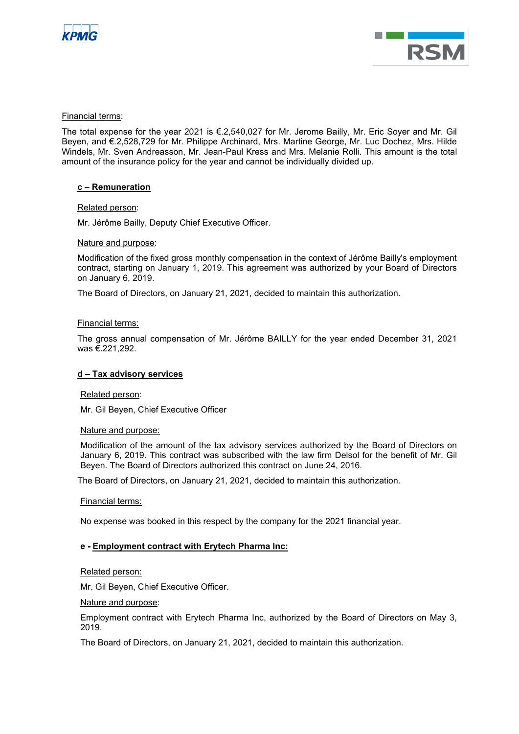



## Financial terms:

The total expense for the year 2021 is €.2,540,027 for Mr. Jerome Bailly, Mr. Eric Soyer and Mr. Gil Beyen, and €.2,528,729 for Mr. Philippe Archinard, Mrs. Martine George, Mr. Luc Dochez, Mrs. Hilde Windels, Mr. Sven Andreasson, Mr. Jean-Paul Kress and Mrs. Melanie Rolli. This amount is the total amount of the insurance policy for the year and cannot be individually divided up.

## **c – Remuneration**

## Related person:

Mr. Jérôme Bailly, Deputy Chief Executive Officer.

## Nature and purpose:

Modification of the fixed gross monthly compensation in the context of Jérôme Bailly's employment contract, starting on January 1, 2019. This agreement was authorized by your Board of Directors on January 6, 2019.

The Board of Directors, on January 21, 2021, decided to maintain this authorization.

## Financial terms:

The gross annual compensation of Mr. Jérôme BAILLY for the year ended December 31, 2021 was €.221,292.

## **d – Tax advisory services**

## Related person:

Mr. Gil Beyen, Chief Executive Officer

## Nature and purpose:

Modification of the amount of the tax advisory services authorized by the Board of Directors on January 6, 2019. This contract was subscribed with the law firm Delsol for the benefit of Mr. Gil Beyen. The Board of Directors authorized this contract on June 24, 2016.

The Board of Directors, on January 21, 2021, decided to maintain this authorization.

## Financial terms:

No expense was booked in this respect by the company for the 2021 financial year.

## **e - Employment contract with Erytech Pharma Inc:**

## Related person:

Mr. Gil Beyen, Chief Executive Officer.

Nature and purpose:

Employment contract with Erytech Pharma Inc, authorized by the Board of Directors on May 3, 2019.

The Board of Directors, on January 21, 2021, decided to maintain this authorization.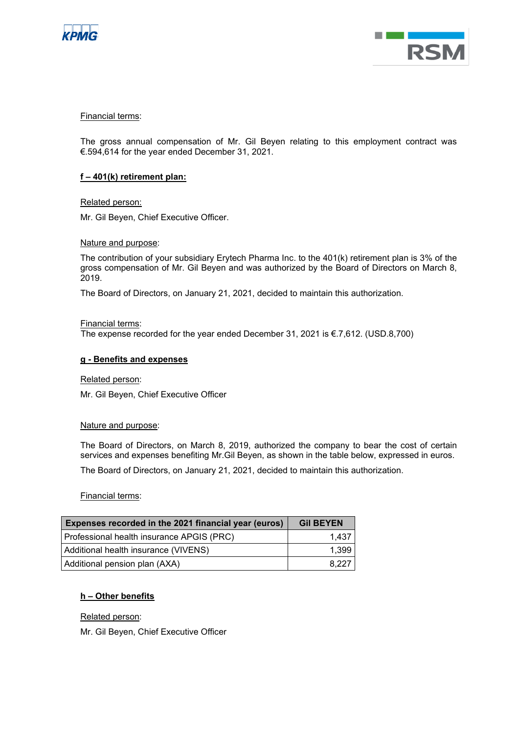



## Financial terms:

The gross annual compensation of Mr. Gil Beyen relating to this employment contract was €.594,614 for the year ended December 31, 2021.

## **f – 401(k) retirement plan:**

Related person:

Mr. Gil Beyen, Chief Executive Officer.

Nature and purpose:

The contribution of your subsidiary Erytech Pharma Inc. to the 401(k) retirement plan is 3% of the gross compensation of Mr. Gil Beyen and was authorized by the Board of Directors on March 8, 2019.

The Board of Directors, on January 21, 2021, decided to maintain this authorization.

Financial terms:

The expense recorded for the year ended December 31, 2021 is €.7,612. (USD.8,700)

### **g - Benefits and expenses**

Related person:

Mr. Gil Beyen, Chief Executive Officer

#### Nature and purpose:

The Board of Directors, on March 8, 2019, authorized the company to bear the cost of certain services and expenses benefiting Mr.Gil Beyen, as shown in the table below, expressed in euros.

The Board of Directors, on January 21, 2021, decided to maintain this authorization.

Financial terms:

| Expenses recorded in the 2021 financial year (euros) | <b>Gil BEYEN</b> |
|------------------------------------------------------|------------------|
| Professional health insurance APGIS (PRC)            | 1.437            |
| Additional health insurance (VIVENS)                 | 1.399            |
| Additional pension plan (AXA)                        | 8.227            |

## **h – Other benefits**

Related person:

Mr. Gil Beyen, Chief Executive Officer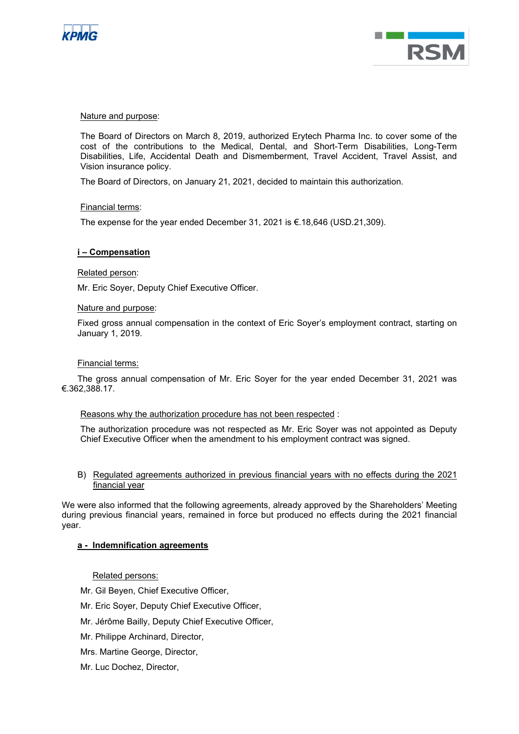



### Nature and purpose:

The Board of Directors on March 8, 2019, authorized Erytech Pharma Inc. to cover some of the cost of the contributions to the Medical, Dental, and Short-Term Disabilities, Long-Term Disabilities, Life, Accidental Death and Dismemberment, Travel Accident, Travel Assist, and Vision insurance policy.

The Board of Directors, on January 21, 2021, decided to maintain this authorization.

#### Financial terms:

The expense for the year ended December 31, 2021 is €.18,646 (USD.21,309).

#### **i – Compensation**

#### Related person:

Mr. Eric Soyer, Deputy Chief Executive Officer.

#### Nature and purpose:

Fixed gross annual compensation in the context of Eric Soyer's employment contract, starting on January 1, 2019.

#### Financial terms:

The gross annual compensation of Mr. Eric Soyer for the year ended December 31, 2021 was €.362,388.17.

#### Reasons why the authorization procedure has not been respected :

The authorization procedure was not respected as Mr. Eric Soyer was not appointed as Deputy Chief Executive Officer when the amendment to his employment contract was signed.

B) Regulated agreements authorized in previous financial years with no effects during the 2021 financial year

We were also informed that the following agreements, already approved by the Shareholders' Meeting during previous financial years, remained in force but produced no effects during the 2021 financial year.

## **a - Indemnification agreements**

## Related persons:

- Mr. Gil Beyen, Chief Executive Officer,
- Mr. Eric Soyer, Deputy Chief Executive Officer,
- Mr. Jérôme Bailly, Deputy Chief Executive Officer,
- Mr. Philippe Archinard, Director,
- Mrs. Martine George, Director,
- Mr. Luc Dochez, Director,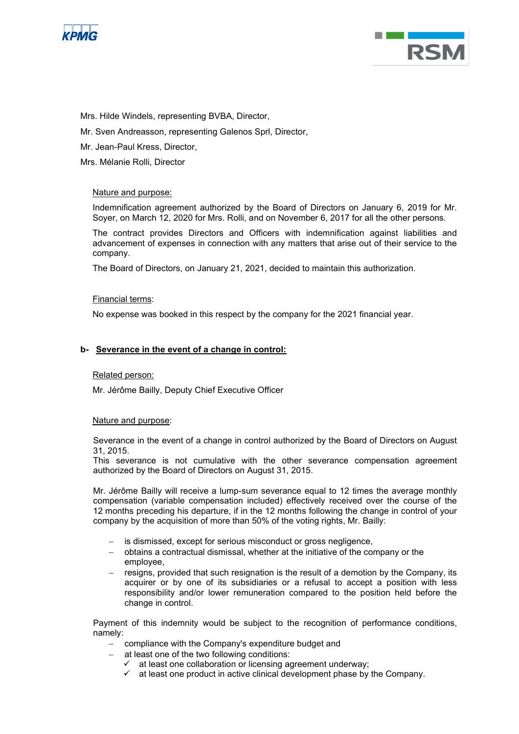



Mrs. Hilde Windels, representing BVBA, Director,

- Mr. Sven Andreasson, representing Galenos Sprl, Director,
- Mr. Jean-Paul Kress, Director,

Mrs. Mélanie Rolli, Director

## Nature and purpose:

Indemnification agreement authorized by the Board of Directors on January 6, 2019 for Mr. Soyer, on March 12, 2020 for Mrs. Rolli, and on November 6, 2017 for all the other persons.

The contract provides Directors and Officers with indemnification against liabilities and advancement of expenses in connection with any matters that arise out of their service to the company.

The Board of Directors, on January 21, 2021, decided to maintain this authorization.

## Financial terms:

No expense was booked in this respect by the company for the 2021 financial year.

## **b- Severance in the event of a change in control:**

## Related person:

Mr. Jérôme Bailly, Deputy Chief Executive Officer

## Nature and purpose:

Severance in the event of a change in control authorized by the Board of Directors on August 31, 2015.

This severance is not cumulative with the other severance compensation agreement authorized by the Board of Directors on August 31, 2015.

Mr. Jérôme Bailly will receive a lump-sum severance equal to 12 times the average monthly compensation (variable compensation included) effectively received over the course of the 12 months preceding his departure, if in the 12 months following the change in control of your company by the acquisition of more than 50% of the voting rights, Mr. Bailly:

- is dismissed, except for serious misconduct or gross negligence,
- − obtains a contractual dismissal, whether at the initiative of the company or the employee,
- resigns, provided that such resignation is the result of a demotion by the Company, its acquirer or by one of its subsidiaries or a refusal to accept a position with less responsibility and/or lower remuneration compared to the position held before the change in control.

Payment of this indemnity would be subject to the recognition of performance conditions, namely:

- − compliance with the Company's expenditure budget and
- at least one of the two following conditions:
	- $\checkmark$  at least one collaboration or licensing agreement underway;
	- $\checkmark$  at least one product in active clinical development phase by the Company.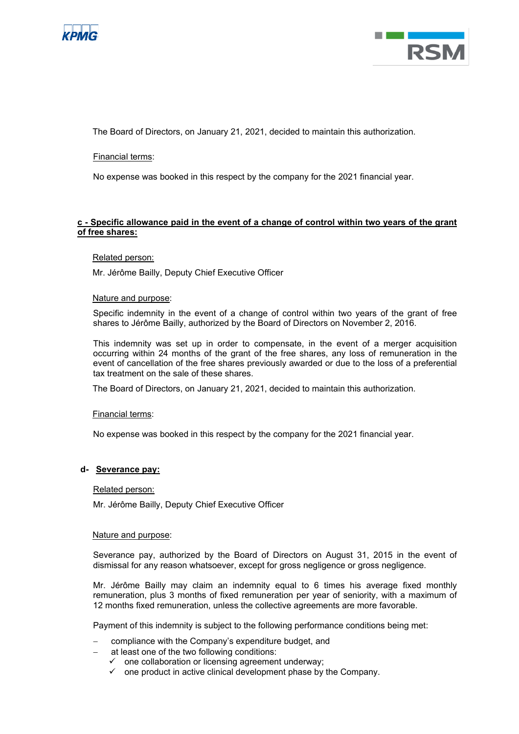



The Board of Directors, on January 21, 2021, decided to maintain this authorization.

Financial terms:

No expense was booked in this respect by the company for the 2021 financial year.

## **c - Specific allowance paid in the event of a change of control within two years of the grant of free shares:**

## Related person:

Mr. Jérôme Bailly, Deputy Chief Executive Officer

## Nature and purpose:

Specific indemnity in the event of a change of control within two years of the grant of free shares to Jérôme Bailly, authorized by the Board of Directors on November 2, 2016.

This indemnity was set up in order to compensate, in the event of a merger acquisition occurring within 24 months of the grant of the free shares, any loss of remuneration in the event of cancellation of the free shares previously awarded or due to the loss of a preferential tax treatment on the sale of these shares.

The Board of Directors, on January 21, 2021, decided to maintain this authorization.

## Financial terms:

No expense was booked in this respect by the company for the 2021 financial year.

## **d- Severance pay:**

## Related person:

Mr. Jérôme Bailly, Deputy Chief Executive Officer

## Nature and purpose:

Severance pay, authorized by the Board of Directors on August 31, 2015 in the event of dismissal for any reason whatsoever, except for gross negligence or gross negligence.

Mr. Jérôme Bailly may claim an indemnity equal to 6 times his average fixed monthly remuneration, plus 3 months of fixed remuneration per year of seniority, with a maximum of 12 months fixed remuneration, unless the collective agreements are more favorable.

Payment of this indemnity is subject to the following performance conditions being met:

- − compliance with the Company's expenditure budget, and
- at least one of the two following conditions:
	- $\checkmark$  one collaboration or licensing agreement underway;
	- $\checkmark$  one product in active clinical development phase by the Company.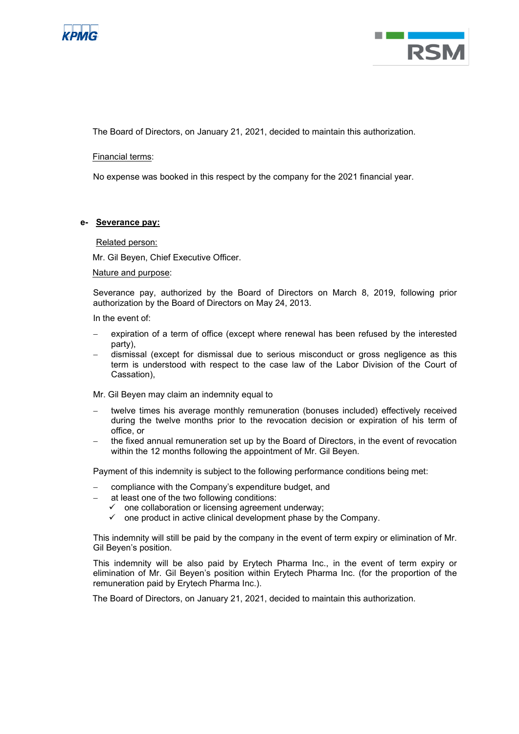



The Board of Directors, on January 21, 2021, decided to maintain this authorization.

Financial terms:

No expense was booked in this respect by the company for the 2021 financial year.

## **e- Severance pay:**

#### Related person:

Mr. Gil Beyen, Chief Executive Officer.

#### Nature and purpose:

Severance pay, authorized by the Board of Directors on March 8, 2019, following prior authorization by the Board of Directors on May 24, 2013.

In the event of:

- expiration of a term of office (except where renewal has been refused by the interested party),
- − dismissal (except for dismissal due to serious misconduct or gross negligence as this term is understood with respect to the case law of the Labor Division of the Court of Cassation),

Mr. Gil Beyen may claim an indemnity equal to

- − twelve times his average monthly remuneration (bonuses included) effectively received during the twelve months prior to the revocation decision or expiration of his term of office, or
- the fixed annual remuneration set up by the Board of Directors, in the event of revocation within the 12 months following the appointment of Mr. Gil Beyen.

Payment of this indemnity is subject to the following performance conditions being met:

- compliance with the Company's expenditure budget, and
- at least one of the two following conditions:
	- $\checkmark$  one collaboration or licensing agreement underway;
	- $\checkmark$  one product in active clinical development phase by the Company.

This indemnity will still be paid by the company in the event of term expiry or elimination of Mr. Gil Beyen's position.

This indemnity will be also paid by Erytech Pharma Inc., in the event of term expiry or elimination of Mr. Gil Beyen's position within Erytech Pharma Inc. (for the proportion of the remuneration paid by Erytech Pharma Inc.).

The Board of Directors, on January 21, 2021, decided to maintain this authorization.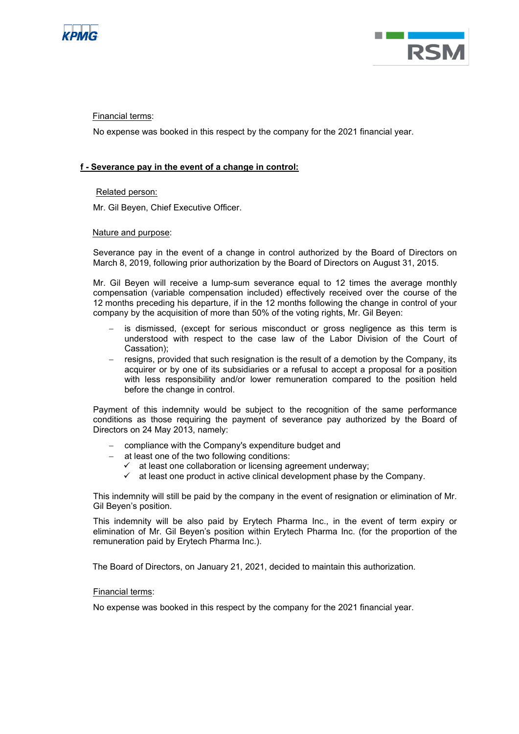



Financial terms:

No expense was booked in this respect by the company for the 2021 financial year.

## **f - Severance pay in the event of a change in control:**

## Related person:

Mr. Gil Beyen, Chief Executive Officer.

## Nature and purpose:

Severance pay in the event of a change in control authorized by the Board of Directors on March 8, 2019, following prior authorization by the Board of Directors on August 31, 2015.

Mr. Gil Beyen will receive a lump-sum severance equal to 12 times the average monthly compensation (variable compensation included) effectively received over the course of the 12 months preceding his departure, if in the 12 months following the change in control of your company by the acquisition of more than 50% of the voting rights, Mr. Gil Beyen:

- is dismissed, (except for serious misconduct or gross negligence as this term is understood with respect to the case law of the Labor Division of the Court of Cassation);
- − resigns, provided that such resignation is the result of a demotion by the Company, its acquirer or by one of its subsidiaries or a refusal to accept a proposal for a position with less responsibility and/or lower remuneration compared to the position held before the change in control.

Payment of this indemnity would be subject to the recognition of the same performance conditions as those requiring the payment of severance pay authorized by the Board of Directors on 24 May 2013, namely:

- − compliance with the Company's expenditure budget and
- at least one of the two following conditions:
	- $\checkmark$  at least one collaboration or licensing agreement underway;
	- at least one product in active clinical development phase by the Company.

This indemnity will still be paid by the company in the event of resignation or elimination of Mr. Gil Beyen's position.

This indemnity will be also paid by Erytech Pharma Inc., in the event of term expiry or elimination of Mr. Gil Beyen's position within Erytech Pharma Inc. (for the proportion of the remuneration paid by Erytech Pharma Inc.).

The Board of Directors, on January 21, 2021, decided to maintain this authorization.

## Financial terms:

No expense was booked in this respect by the company for the 2021 financial year.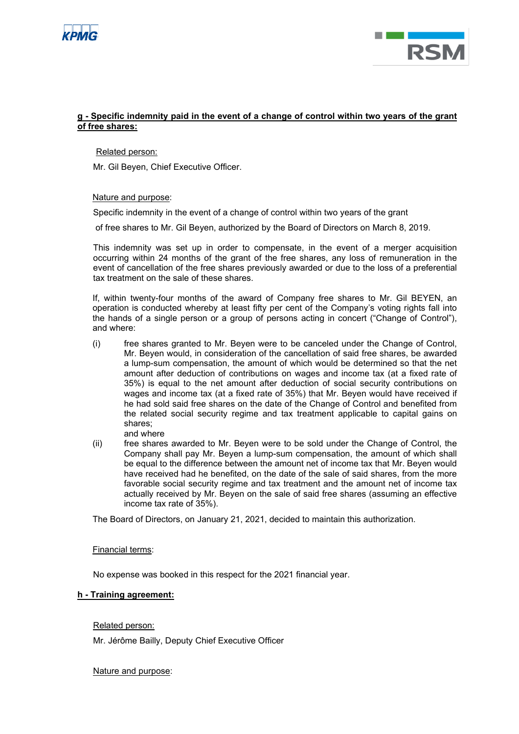



## **g - Specific indemnity paid in the event of a change of control within two years of the grant of free shares:**

Related person:

Mr. Gil Beyen, Chief Executive Officer.

Nature and purpose:

Specific indemnity in the event of a change of control within two years of the grant

of free shares to Mr. Gil Beyen, authorized by the Board of Directors on March 8, 2019.

This indemnity was set up in order to compensate, in the event of a merger acquisition occurring within 24 months of the grant of the free shares, any loss of remuneration in the event of cancellation of the free shares previously awarded or due to the loss of a preferential tax treatment on the sale of these shares.

If, within twenty-four months of the award of Company free shares to Mr. Gil BEYEN, an operation is conducted whereby at least fifty per cent of the Company's voting rights fall into the hands of a single person or a group of persons acting in concert ("Change of Control"), and where:

- (i) free shares granted to Mr. Beyen were to be canceled under the Change of Control, Mr. Beyen would, in consideration of the cancellation of said free shares, be awarded a lump-sum compensation, the amount of which would be determined so that the net amount after deduction of contributions on wages and income tax (at a fixed rate of 35%) is equal to the net amount after deduction of social security contributions on wages and income tax (at a fixed rate of 35%) that Mr. Beyen would have received if he had sold said free shares on the date of the Change of Control and benefited from the related social security regime and tax treatment applicable to capital gains on shares; and where
- (ii) free shares awarded to Mr. Beyen were to be sold under the Change of Control, the Company shall pay Mr. Beyen a lump-sum compensation, the amount of which shall be equal to the difference between the amount net of income tax that Mr. Beyen would have received had he benefited, on the date of the sale of said shares, from the more favorable social security regime and tax treatment and the amount net of income tax actually received by Mr. Beyen on the sale of said free shares (assuming an effective income tax rate of 35%).

The Board of Directors, on January 21, 2021, decided to maintain this authorization.

## Financial terms:

No expense was booked in this respect for the 2021 financial year.

## **h - Training agreement:**

Related person:

Mr. Jérôme Bailly, Deputy Chief Executive Officer

## Nature and purpose: